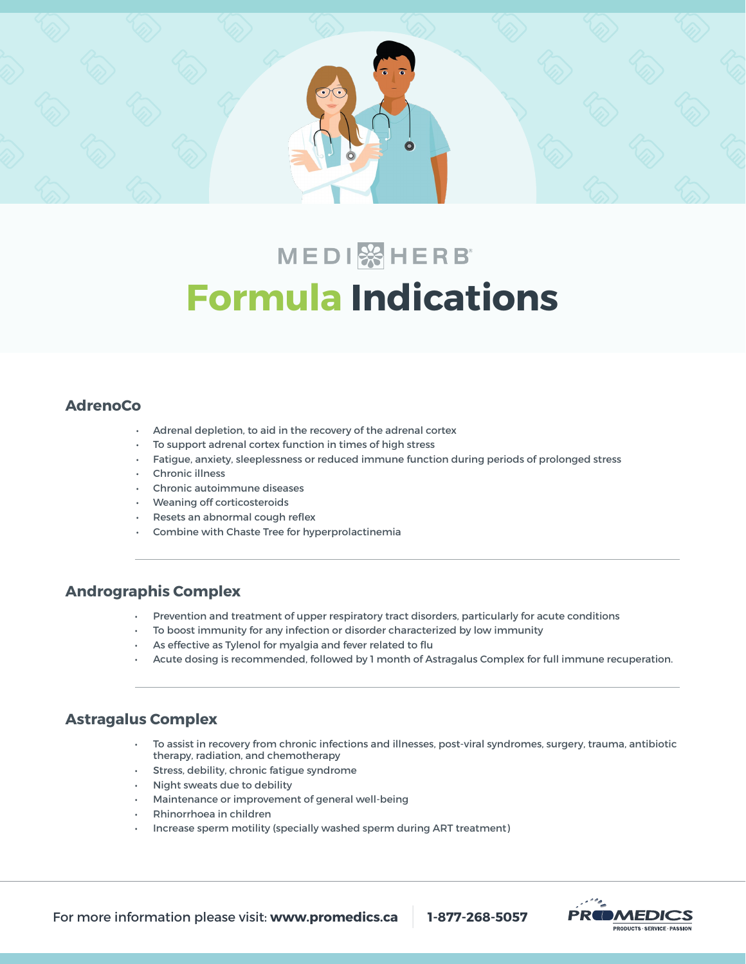

# **MEDI** & HERB **Formula Indications**

# **AdrenoCo**

- Adrenal depletion, to aid in the recovery of the adrenal cortex
- To support adrenal cortex function in times of high stress
- Fatigue, anxiety, sleeplessness or reduced immune function during periods of prolonged stress
- Chronic illness
- Chronic autoimmune diseases
- Weaning off corticosteroids
- Resets an abnormal cough reflex
- Combine with Chaste Tree for hyperprolactinemia

# **Andrographis Complex**

- Prevention and treatment of upper respiratory tract disorders, particularly for acute conditions
- To boost immunity for any infection or disorder characterized by low immunity
- As effective as Tylenol for myalgia and fever related to flu
- Acute dosing is recommended, followed by 1 month of Astragalus Complex for full immune recuperation.

#### **Astragalus Complex**

- To assist in recovery from chronic infections and illnesses, post-viral syndromes, surgery, trauma, antibiotic therapy, radiation, and chemotherapy
- Stress, debility, chronic fatigue syndrome
- Night sweats due to debility
- Maintenance or improvement of general well-being
- Rhinorrhoea in children
- Increase sperm motility (specially washed sperm during ART treatment)

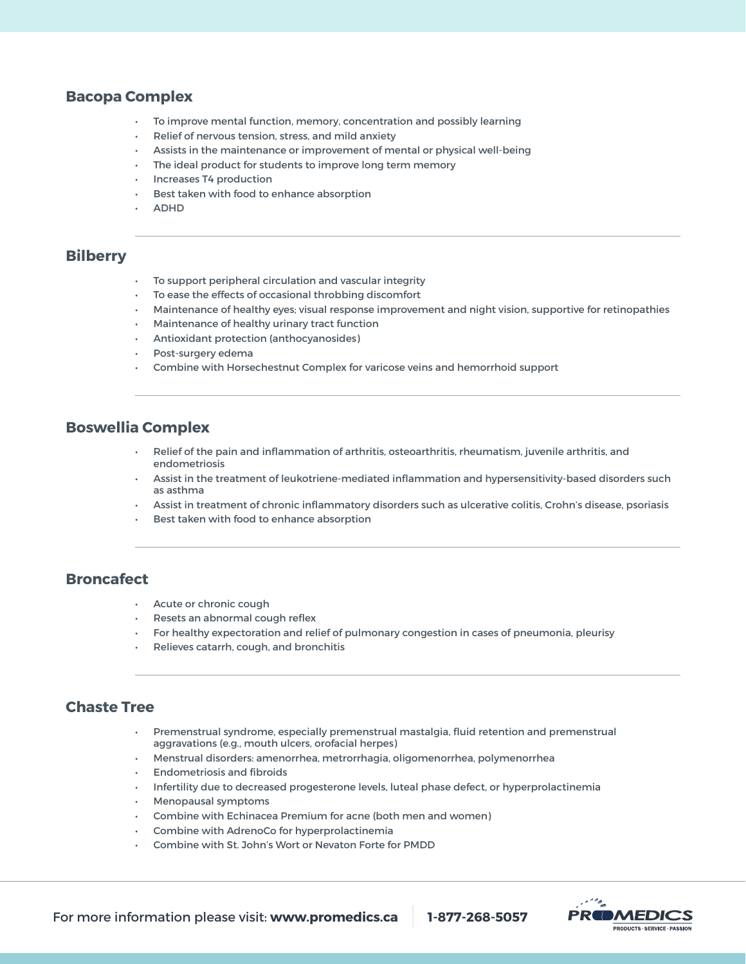#### **Bacopa Complex**

- To improve mental function, memory, concentration and possibly learning
- Relief of nervous tension, stress, and mild anxiety
- Assists in the maintenance or improvement of mental or physical well-being
- The ideal product for students to improve long term memory
- Increases T4 production
- Best taken with food to enhance absorption
- ADHD

#### **Bilberry**

- To support peripheral circulation and vascular integrity
- To ease the effects of occasional throbbing discomfort
- Maintenance of healthy eyes; visual response improvement and night vision, supportive for retinopathies
- Maintenance of healthy urinary tract function
- Antioxidant protection (anthocyanosides)
- Post-surgery edema
- Combine with Horsechestnut Complex for varicose veins and hemorrhoid support

#### **Boswellia Complex**

- Relief of the pain and inflammation of arthritis, osteoarthritis, rheumatism, juvenile arthritis, and endometriosis
- Assist in the treatment of leukotriene-mediated inflammation and hypersensitivity-based disorders such as asthma
- Assist in treatment of chronic inflammatory disorders such as ulcerative colitis, Crohn's disease, psoriasis
- Best taken with food to enhance absorption

#### **Broncafect**

- Acute or chronic cough
- Resets an abnormal cough reflex
- For healthy expectoration and relief of pulmonary congestion in cases of pneumonia, pleurisy
- Relieves catarrh, cough, and bronchitis

# **Chaste Tree**

- Premenstrual syndrome, especially premenstrual mastalgia, fluid retention and premenstrual aggravations (e.g., mouth ulcers, orofacial herpes)
- Menstrual disorders: amenorrhea, metrorrhagia, oligomenorrhea, polymenorrhea
- Endometriosis and fibroids
- Infertility due to decreased progesterone levels, luteal phase defect, or hyperprolactinemia
- Menopausal symptoms
- Combine with Echinacea Premium for acne (both men and women)
- Combine with AdrenoCo for hyperprolactinemia
- Combine with St. John's Wort or Nevaton Forte for PMDD

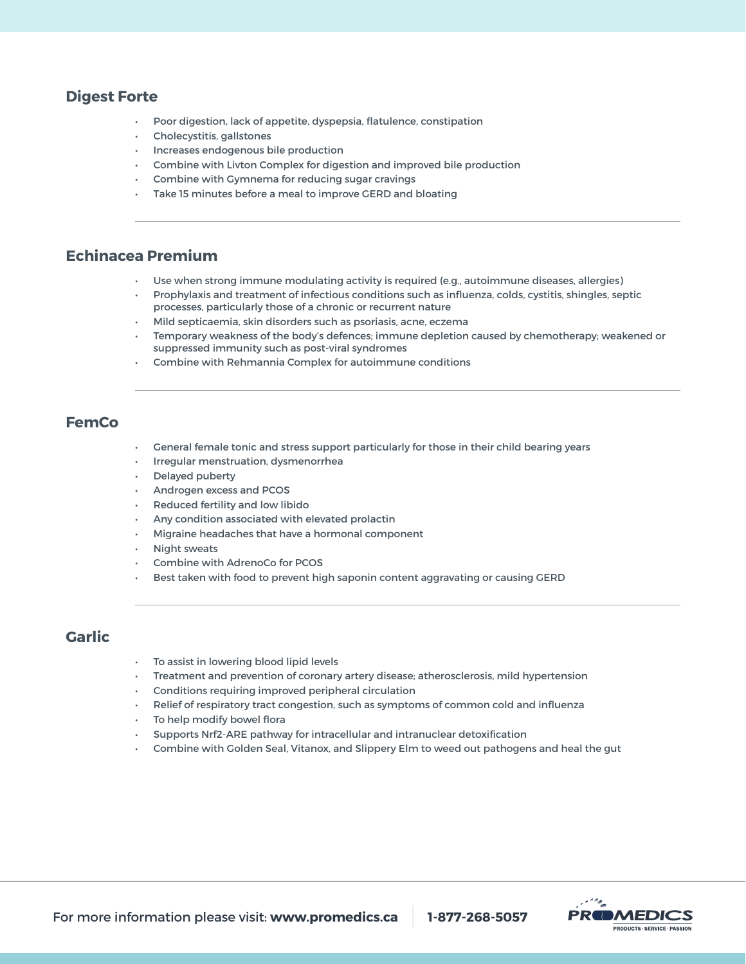# **Digest Forte**

- Poor digestion, lack of appetite, dyspepsia, flatulence, constipation
- Cholecystitis, gallstones
- Increases endogenous bile production
- Combine with Livton Complex for digestion and improved bile production
- Combine with Gymnema for reducing sugar cravings
- Take 15 minutes before a meal to improve GERD and bloating

#### **Echinacea Premium**

- Use when strong immune modulating activity is required (e.g., autoimmune diseases, allergies)
- Prophylaxis and treatment of infectious conditions such as influenza, colds, cystitis, shingles, septic processes, particularly those of a chronic or recurrent nature
- Mild septicaemia, skin disorders such as psoriasis, acne, eczema
- Temporary weakness of the body's defences; immune depletion caused by chemotherapy; weakened or suppressed immunity such as post-viral syndromes
- Combine with Rehmannia Complex for autoimmune conditions

# **FemCo**

- General female tonic and stress support particularly for those in their child bearing years
- Irregular menstruation, dysmenorrhea
- Delayed puberty
- Androgen excess and PCOS
- Reduced fertility and low libido
- Any condition associated with elevated prolactin
- Migraine headaches that have a hormonal component
- Night sweats
- Combine with AdrenoCo for PCOS
- Best taken with food to prevent high saponin content aggravating or causing GERD

# **Garlic**

- To assist in lowering blood lipid levels
- Treatment and prevention of coronary artery disease; atherosclerosis, mild hypertension
- Conditions requiring improved peripheral circulation
- Relief of respiratory tract congestion, such as symptoms of common cold and influenza
- To help modify bowel flora
- Supports Nrf2-ARE pathway for intracellular and intranuclear detoxification
- Combine with Golden Seal, Vitanox, and Slippery Elm to weed out pathogens and heal the gut

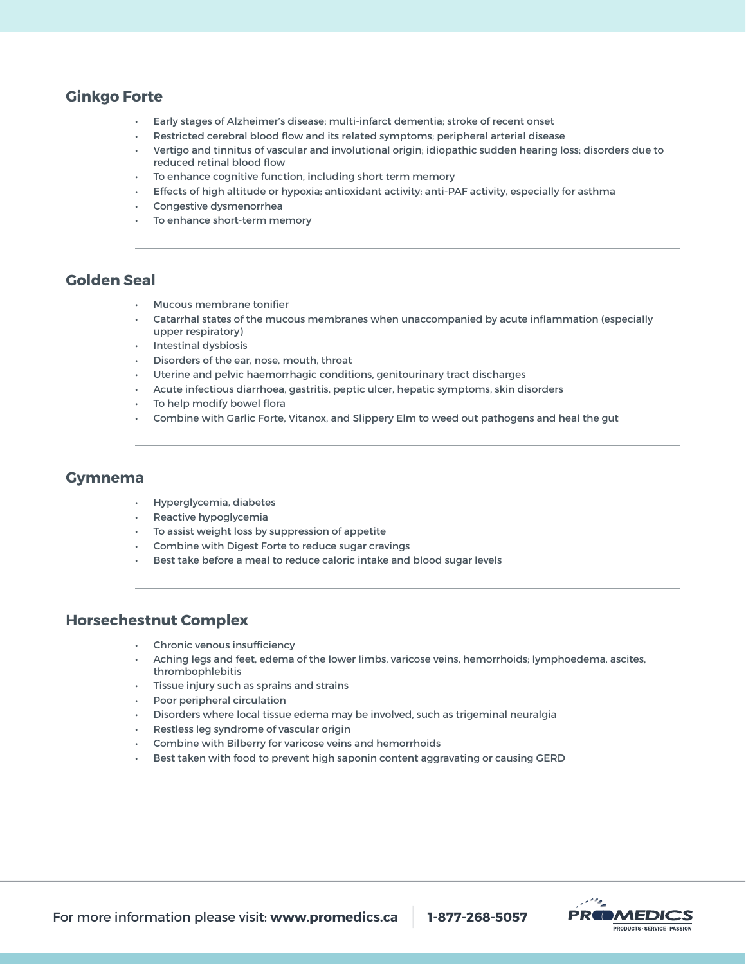# **Ginkgo Forte**

- Early stages of Alzheimer's disease; multi-infarct dementia; stroke of recent onset
- Restricted cerebral blood flow and its related symptoms; peripheral arterial disease
- Vertigo and tinnitus of vascular and involutional origin; idiopathic sudden hearing loss; disorders due to reduced retinal blood flow
- To enhance cognitive function, including short term memory
- Effects of high altitude or hypoxia; antioxidant activity; anti-PAF activity, especially for asthma
- Congestive dysmenorrhea
- To enhance short-term memory

# **Golden Seal**

- Mucous membrane tonifier
- Catarrhal states of the mucous membranes when unaccompanied by acute inflammation (especially upper respiratory)
- Intestinal dysbiosis
- Disorders of the ear, nose, mouth, throat
- Uterine and pelvic haemorrhagic conditions, genitourinary tract discharges
- Acute infectious diarrhoea, gastritis, peptic ulcer, hepatic symptoms, skin disorders
- To help modify bowel flora
- Combine with Garlic Forte, Vitanox, and Slippery Elm to weed out pathogens and heal the gut

# **Gymnema**

- Hyperglycemia, diabetes
- Reactive hypoglycemia
- To assist weight loss by suppression of appetite
- Combine with Digest Forte to reduce sugar cravings
- Best take before a meal to reduce caloric intake and blood sugar levels

# **Horsechestnut Complex**

- Chronic venous insufficiency
- Aching legs and feet, edema of the lower limbs, varicose veins, hemorrhoids; lymphoedema, ascites, thrombophlebitis
- Tissue injury such as sprains and strains
- Poor peripheral circulation
- Disorders where local tissue edema may be involved, such as trigeminal neuralgia
- Restless leg syndrome of vascular origin
- Combine with Bilberry for varicose veins and hemorrhoids
- Best taken with food to prevent high saponin content aggravating or causing GERD

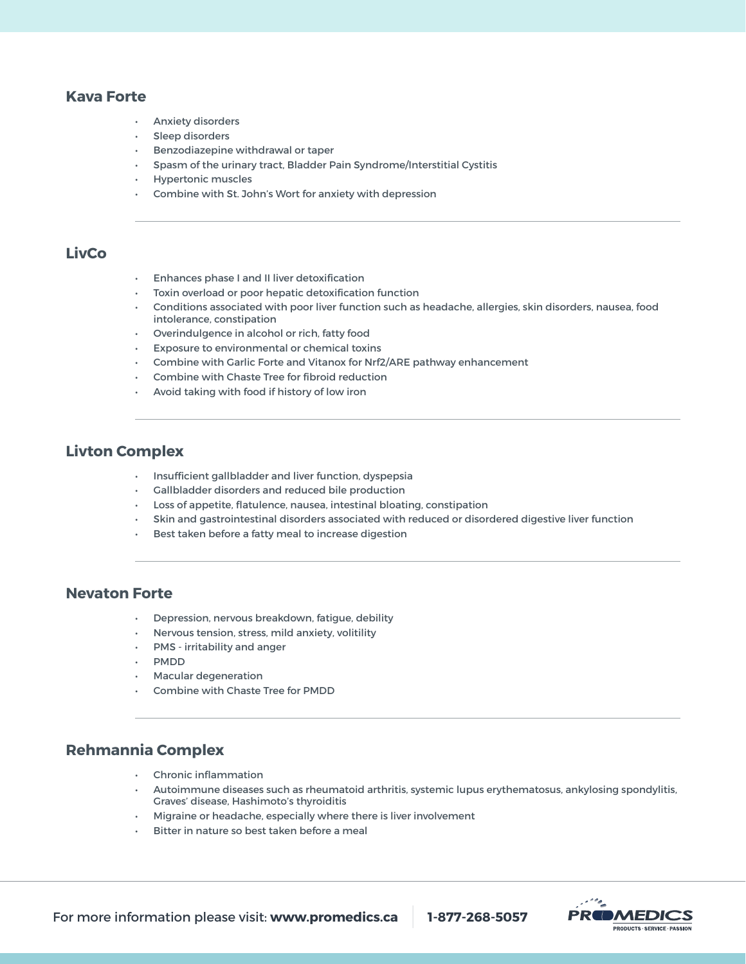## **Kava Forte**

- Anxiety disorders
- Sleep disorders
- Benzodiazepine withdrawal or taper
- Spasm of the urinary tract, Bladder Pain Syndrome/Interstitial Cystitis
- Hypertonic muscles
- Combine with St. John's Wort for anxiety with depression

# **LivCo**

- Enhances phase I and II liver detoxification
- Toxin overload or poor hepatic detoxification function
- Conditions associated with poor liver function such as headache, allergies, skin disorders, nausea, food intolerance, constipation
- Overindulgence in alcohol or rich, fatty food
- Exposure to environmental or chemical toxins
- Combine with Garlic Forte and Vitanox for Nrf2/ARE pathway enhancement
- Combine with Chaste Tree for fibroid reduction
- Avoid taking with food if history of low iron

#### **Livton Complex**

- Insufficient gallbladder and liver function, dyspepsia
- Gallbladder disorders and reduced bile production
- Loss of appetite, flatulence, nausea, intestinal bloating, constipation
- Skin and gastrointestinal disorders associated with reduced or disordered digestive liver function
- Best taken before a fatty meal to increase digestion

#### **Nevaton Forte**

- Depression, nervous breakdown, fatigue, debility
- Nervous tension, stress, mild anxiety, volitility
- PMS irritability and anger
- PMDD
- Macular degeneration
- Combine with Chaste Tree for PMDD

## **Rehmannia Complex**

- Chronic inflammation
- Autoimmune diseases such as rheumatoid arthritis, systemic lupus erythematosus, ankylosing spondylitis, Graves' disease, Hashimoto's thyroiditis
- Migraine or headache, especially where there is liver involvement
- Bitter in nature so best taken before a meal

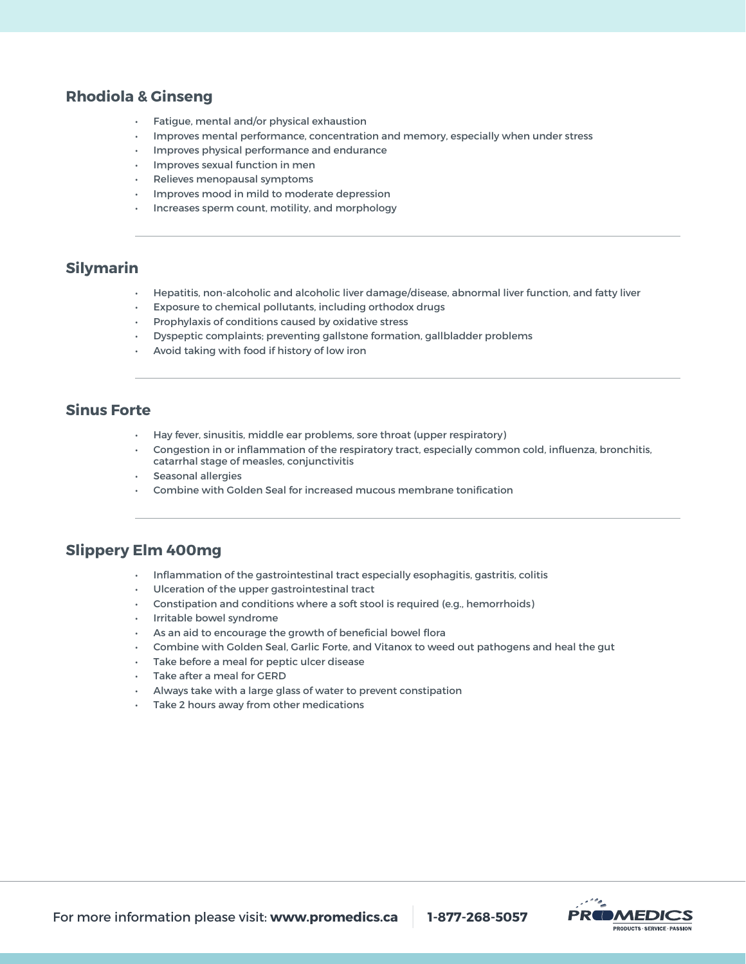# **Rhodiola & Ginseng**

- Fatigue, mental and/or physical exhaustion
- Improves mental performance, concentration and memory, especially when under stress
- Improves physical performance and endurance
- Improves sexual function in men
- Relieves menopausal symptoms
- Improves mood in mild to moderate depression
- Increases sperm count, motility, and morphology

#### **Silymarin**

- Hepatitis, non-alcoholic and alcoholic liver damage/disease, abnormal liver function, and fatty liver
- Exposure to chemical pollutants, including orthodox drugs
- Prophylaxis of conditions caused by oxidative stress
- Dyspeptic complaints; preventing gallstone formation, gallbladder problems
- Avoid taking with food if history of low iron

# **Sinus Forte**

- Hay fever, sinusitis, middle ear problems, sore throat (upper respiratory)
- Congestion in or inflammation of the respiratory tract, especially common cold, influenza, bronchitis, catarrhal stage of measles, conjunctivitis
- Seasonal allergies
- Combine with Golden Seal for increased mucous membrane tonification

#### **Slippery Elm 400mg**

- Inflammation of the gastrointestinal tract especially esophagitis, gastritis, colitis
- Ulceration of the upper gastrointestinal tract
- Constipation and conditions where a soft stool is required (e.g., hemorrhoids)
- Irritable bowel syndrome
- As an aid to encourage the growth of beneficial bowel flora
- Combine with Golden Seal, Garlic Forte, and Vitanox to weed out pathogens and heal the gut
- Take before a meal for peptic ulcer disease
- Take after a meal for GERD
- Always take with a large glass of water to prevent constipation
- Take 2 hours away from other medications

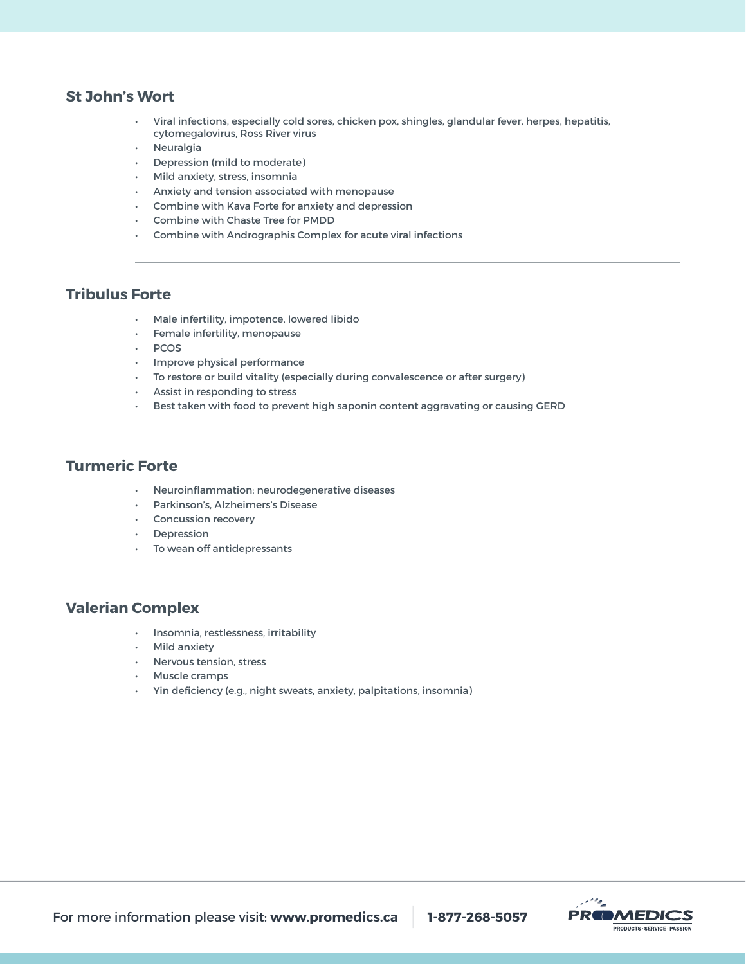#### **St John's Wort**

- Viral infections, especially cold sores, chicken pox, shingles, glandular fever, herpes, hepatitis, cytomegalovirus, Ross River virus
- **Neuralgia**
- Depression (mild to moderate)
- Mild anxiety, stress, insomnia
- Anxiety and tension associated with menopause
- Combine with Kava Forte for anxiety and depression
- Combine with Chaste Tree for PMDD
- Combine with Andrographis Complex for acute viral infections

# **Tribulus Forte**

- Male infertility, impotence, lowered libido
- Female infertility, menopause
- PCOS
- Improve physical performance
- To restore or build vitality (especially during convalescence or after surgery)
- Assist in responding to stress
- Best taken with food to prevent high saponin content aggravating or causing GERD

## **Turmeric Forte**

- Neuroinflammation: neurodegenerative diseases
- Parkinson's, Alzheimers's Disease
- Concussion recovery
- **Depression**
- To wean off antidepressants

#### **Valerian Complex**

- Insomnia, restlessness, irritability
- Mild anxiety
- Nervous tension, stress
- Muscle cramps
- Yin deficiency (e.g., night sweats, anxiety, palpitations, insomnia)